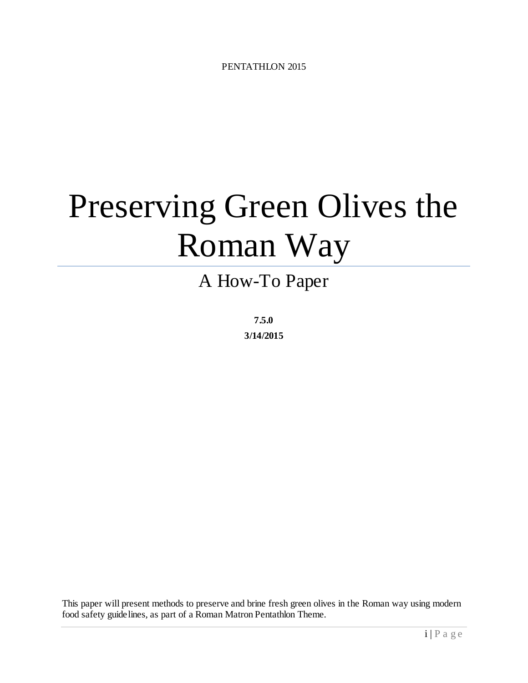# Preserving Green Olives the Roman Way

# A How-To Paper

**7.5.0 3/14/2015**

This paper will present methods to preserve and brine fresh green olives in the Roman way using modern food safety guidelines, as part of a Roman Matron Pentathlon Theme.

i | Page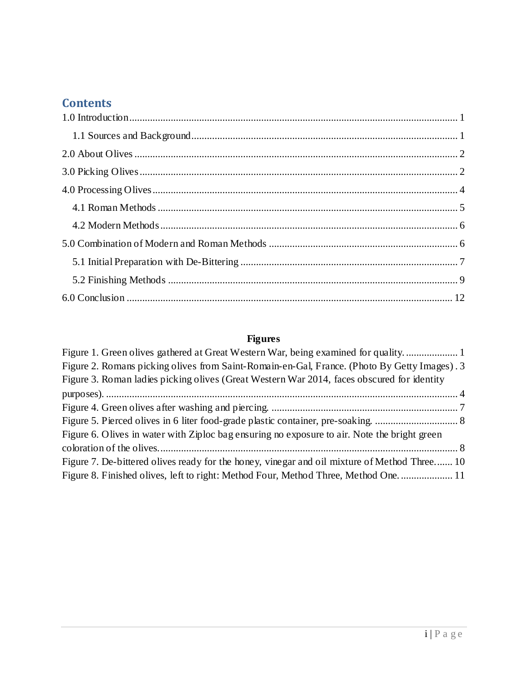# **Contents**

# **Figures**

| Figure 1. Green olives gathered at Great Western War, being examined for quality             |  |
|----------------------------------------------------------------------------------------------|--|
| Figure 2. Romans picking olives from Saint-Romain-en-Gal, France. (Photo By Getty Images). 3 |  |
| Figure 3. Roman ladies picking olives (Great Western War 2014, faces obscured for identity   |  |
|                                                                                              |  |
|                                                                                              |  |
|                                                                                              |  |
| Figure 6. Olives in water with Ziploc bag ensuring no exposure to air. Note the bright green |  |
|                                                                                              |  |
| Figure 7. De-bittered olives ready for the honey, vinegar and oil mixture of Method Three 10 |  |
| Figure 8. Finished olives, left to right: Method Four, Method Three, Method One 11           |  |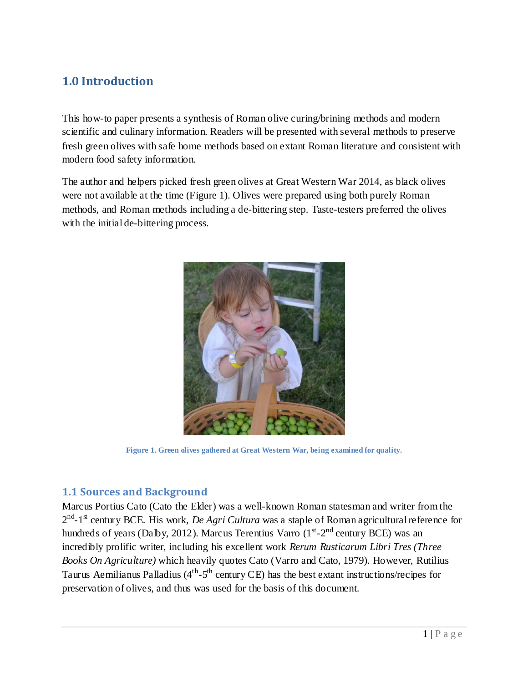# <span id="page-2-0"></span>**1.0 Introduction**

This how-to paper presents a synthesis of Roman olive curing/brining methods and modern scientific and culinary information. Readers will be presented with several methods to preserve fresh green olives with safe home methods based on extant Roman literature and consistent with modern food safety information.

The author and helpers picked fresh green olives at Great Western War 2014, as black olives were not available at the time (Figure 1). Olives were prepared using both purely Roman methods, and Roman methods including a de-bittering step. Taste-testers preferred the olives with the initial de-bittering process.



**Figure 1. Green olives gathered at Great Western War, being examined for quality.**

#### <span id="page-2-2"></span><span id="page-2-1"></span>**1.1 Sources and Background**

Marcus Portius Cato (Cato the Elder) was a well-known Roman statesman and writer from the 2<sup>nd</sup>-1<sup>st</sup> century BCE. His work, *De Agri Cultura* was a staple of Roman agricultural reference for hundreds of years (Dalby, 2012). Marcus Terentius Varro  $(1<sup>st</sup>-2<sup>nd</sup>$  century BCE) was an incredibly prolific writer, including his excellent work *Rerum Rusticarum Libri Tres (Three Books On Agriculture)* which heavily quotes Cato (Varro and Cato, 1979). However, Rutilius Taurus Aemilianus Palladius ( $4<sup>th</sup> - 5<sup>th</sup>$  century CE) has the best extant instructions/recipes for preservation of olives, and thus was used for the basis of this document.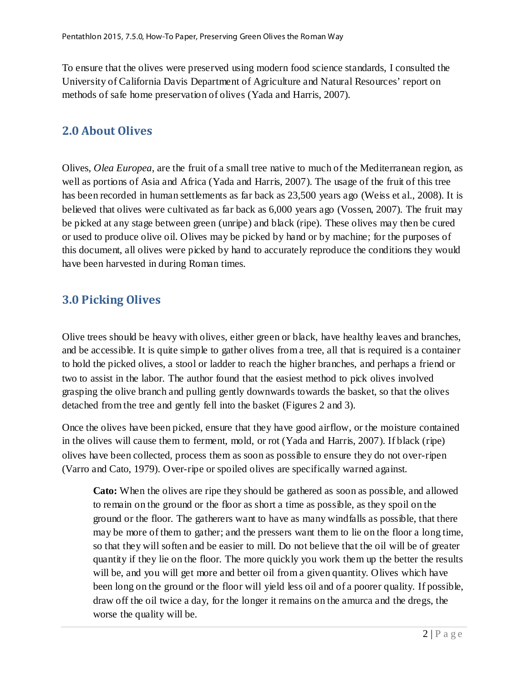To ensure that the olives were preserved using modern food science standards, I consulted the University of California Davis Department of Agriculture and Natural Resources' report on methods of safe home preservation of olives (Yada and Harris, 2007).

## <span id="page-3-0"></span>**2.0 About Olives**

Olives, *Olea Europea*, are the fruit of a small tree native to much of the Mediterranean region, as well as portions of Asia and Africa (Yada and Harris, 2007). The usage of the fruit of this tree has been recorded in human settlements as far back as 23,500 years ago (Weiss et al., 2008). It is believed that olives were cultivated as far back as 6,000 years ago (Vossen, 2007). The fruit may be picked at any stage between green (unripe) and black (ripe). These olives may then be cured or used to produce olive oil. Olives may be picked by hand or by machine; for the purposes of this document, all olives were picked by hand to accurately reproduce the conditions they would have been harvested in during Roman times.

# <span id="page-3-1"></span>**3.0 Picking Olives**

Olive trees should be heavy with olives, either green or black, have healthy leaves and branches, and be accessible. It is quite simple to gather olives from a tree, all that is required is a container to hold the picked olives, a stool or ladder to reach the higher branches, and perhaps a friend or two to assist in the labor. The author found that the easiest method to pick olives involved grasping the olive branch and pulling gently downwards towards the basket, so that the olives detached from the tree and gently fell into the basket (Figures 2 and 3).

Once the olives have been picked, ensure that they have good airflow, or the moisture contained in the olives will cause them to ferment, mold, or rot (Yada and Harris, 2007). If black (ripe) olives have been collected, process them as soon as possible to ensure they do not over-ripen (Varro and Cato, 1979). Over-ripe or spoiled olives are specifically warned against.

**Cato:** When the olives are ripe they should be gathered as soon as possible, and allowed to remain on the ground or the floor as short a time as possible, as they spoil on the ground or the floor. The gatherers want to have as many windfalls as possible, that there may be more of them to gather; and the pressers want them to lie on the floor a long time, so that they will soften and be easier to mill. Do not believe that the oil will be of greater quantity if they lie on the floor. The more quickly you work them up the better the results will be, and you will get more and better oil from a given quantity. Olives which have been long on the ground or the floor will yield less oil and of a poorer quality. If possible, draw off the oil twice a day, for the longer it remains on the amurca and the dregs, the worse the quality will be.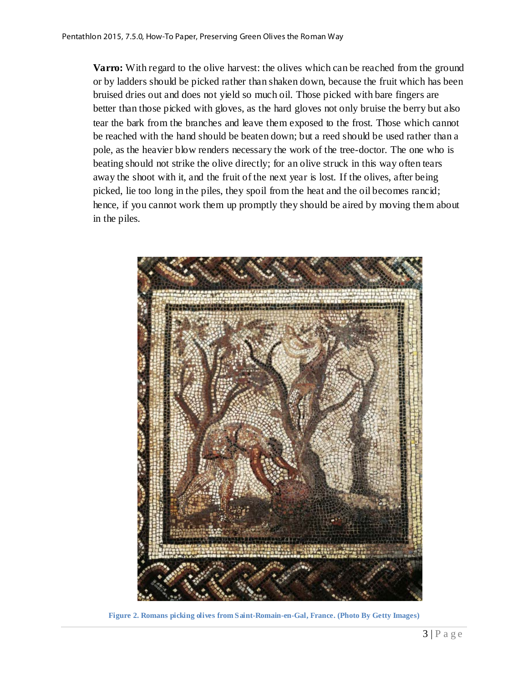**Varro:** With regard to the olive harvest: the olives which can be reached from the ground or by ladders should be picked rather than shaken down, because the fruit which has been bruised dries out and does not yield so much oil. Those picked with bare fingers are better than those picked with gloves, as the hard gloves not only bruise the berry but also tear the bark from the branches and leave them exposed to the frost. Those which cannot be reached with the hand should be beaten down; but a reed should be used rather than a pole, as the heavier blow renders necessary the work of the tree-doctor. The one who is beating should not strike the olive directly; for an olive struck in this way often tears away the shoot with it, and the fruit of the next year is lost. If the olives, after being picked, lie too long in the piles, they spoil from the heat and the oil becomes rancid; hence, if you cannot work them up promptly they should be aired by moving them about in the piles.

<span id="page-4-0"></span>

**Figure 2. Romans picking olives from Saint-Romain-en-Gal, France. (Photo By Getty Images)**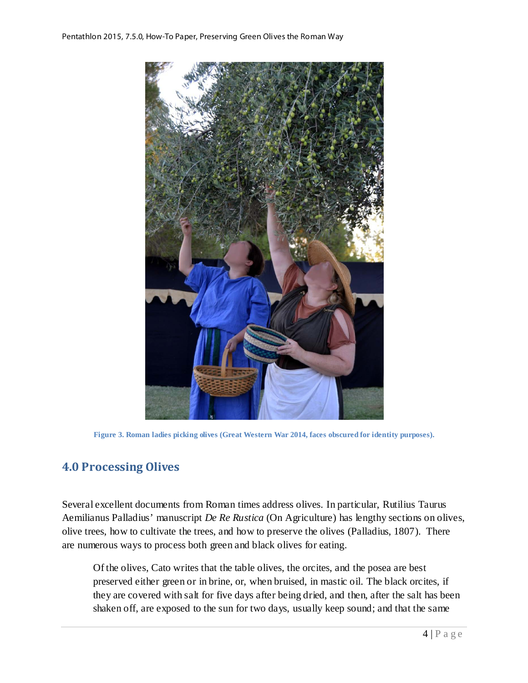

**Figure 3. Roman ladies picking olives (Great Western War 2014, faces obscured for identity purposes).**

### <span id="page-5-1"></span><span id="page-5-0"></span>**4.0 Processing Olives**

Several excellent documents from Roman times address olives. In particular, Rutilius Taurus Aemilianus Palladius' manuscript *De Re Rustica* (On Agriculture) has lengthy sections on olives, olive trees, how to cultivate the trees, and how to preserve the olives (Palladius, 1807). There are numerous ways to process both green and black olives for eating.

Of the olives, Cato writes that the table olives, the orcites, and the posea are best preserved either green or in brine, or, when bruised, in mastic oil. The black orcites, if they are covered with salt for five days after being dried, and then, after the salt has been shaken off, are exposed to the sun for two days, usually keep sound; and that the same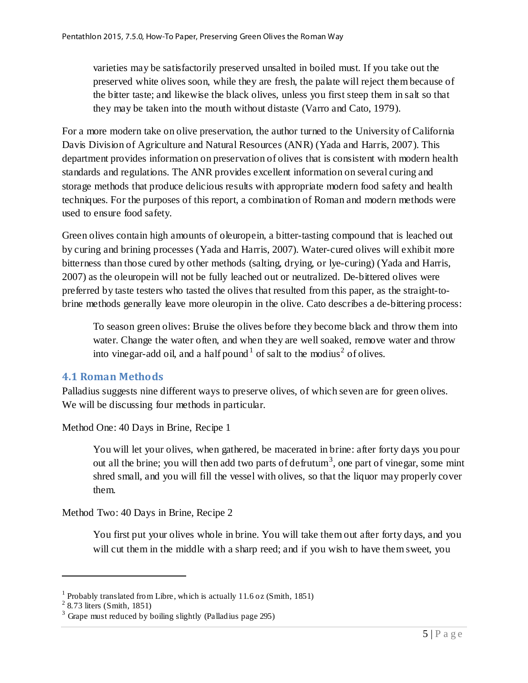varieties may be satisfactorily preserved unsalted in boiled must. If you take out the preserved white olives soon, while they are fresh, the palate will reject them because of the bitter taste; and likewise the black olives, unless you first steep them in salt so that they may be taken into the mouth without distaste (Varro and Cato, 1979).

For a more modern take on olive preservation, the author turned to the University of California Davis Division of Agriculture and Natural Resources (ANR) (Yada and Harris, 2007). This department provides information on preservation of olives that is consistent with modern health standards and regulations. The ANR provides excellent information on several curing and storage methods that produce delicious results with appropriate modern food safety and health techniques. For the purposes of this report, a combination of Roman and modern methods were used to ensure food safety.

Green olives contain high amounts of oleuropein, a bitter-tasting compound that is leached out by curing and brining processes (Yada and Harris, 2007). Water-cured olives will exhibit more bitterness than those cured by other methods (salting, drying, or lye-curing) (Yada and Harris, 2007) as the oleuropein will not be fully leached out or neutralized. De-bittered olives were preferred by taste testers who tasted the olives that resulted from this paper, as the straight-tobrine methods generally leave more oleuropin in the olive. Cato describes a de-bittering process:

To season green olives: Bruise the olives before they become black and throw them into water. Change the water often, and when they are well soaked, remove water and throw into vinegar-add oil, and a half pound  $1$  of salt to the modius<sup>[2](#page-6-2)</sup> of olives.

#### <span id="page-6-0"></span>**4.1 Roman Methods**

Palladius suggests nine different ways to preserve olives, of which seven are for green olives. We will be discussing four methods in particular.

Method One: 40 Days in Brine, Recipe 1

You will let your olives, when gathered, be macerated in brine: after forty days you pour out all the brine; you will then add two parts of defrutum<sup>[3](#page-6-3)</sup>, one part of vinegar, some mint shred small, and you will fill the vessel with olives, so that the liquor may properly cover them.

Method Two: 40 Days in Brine, Recipe 2

You first put your olives whole in brine. You will take them out after forty days, and you will cut them in the middle with a sharp reed; and if you wish to have them sweet, you

 $\overline{a}$ 

<span id="page-6-1"></span><sup>&</sup>lt;sup>1</sup> Probably translated from Libre, which is actually  $11.6$  oz (Smith,  $1851$ )

<span id="page-6-2"></span> $2$  8.73 liters (Smith, 1851)

<span id="page-6-3"></span><sup>&</sup>lt;sup>3</sup> Grape must reduced by boiling slightly (Palladius page 295)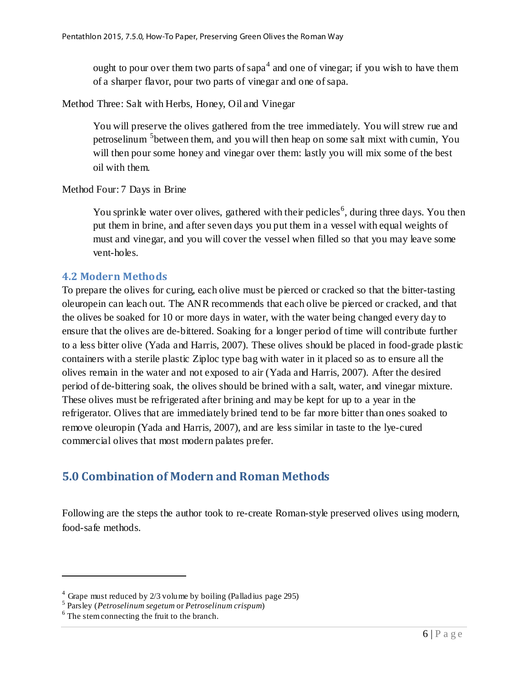ought to pour over them two parts of sapa<sup>[4](#page-7-2)</sup> and one of vinegar; if you wish to have them of a sharper flavor, pour two parts of vinegar and one of sapa.

Method Three: Salt with Herbs, Honey, Oil and Vinegar

You will preserve the olives gathered from the tree immediately. You will strew rue and petroselinum <sup>[5](#page-7-3)</sup>between them, and you will then heap on some salt mixt with cumin, You will then pour some honey and vinegar over them: lastly you will mix some of the best oil with them.

Method Four: 7 Days in Brine

You sprinkle water over olives, gathered with their pedicles<sup>[6](#page-7-4)</sup>, during three days. You then put them in brine, and after seven days you put them in a vessel with equal weights of must and vinegar, and you will cover the vessel when filled so that you may leave some vent-holes.

#### <span id="page-7-0"></span>**4.2 Modern Methods**

To prepare the olives for curing, each olive must be pierced or cracked so that the bitter-tasting oleuropein can leach out. The ANR recommends that each olive be pierced or cracked, and that the olives be soaked for 10 or more days in water, with the water being changed every day to ensure that the olives are de-bittered. Soaking for a longer period of time will contribute further to a less bitter olive (Yada and Harris, 2007). These olives should be placed in food-grade plastic containers with a sterile plastic Ziploc type bag with water in it placed so as to ensure all the olives remain in the water and not exposed to air (Yada and Harris, 2007). After the desired period of de-bittering soak, the olives should be brined with a salt, water, and vinegar mixture. These olives must be refrigerated after brining and may be kept for up to a year in the refrigerator. Olives that are immediately brined tend to be far more bitter than ones soaked to remove oleuropin (Yada and Harris, 2007), and are less similar in taste to the lye-cured commercial olives that most modern palates prefer.

## <span id="page-7-1"></span>**5.0 Combination of Modern and Roman Methods**

Following are the steps the author took to re-create Roman-style preserved olives using modern, food-safe methods.

 $\overline{a}$ 

<span id="page-7-2"></span><sup>4</sup> Grape must reduced by 2/3 volume by boiling (Palladius page 295)

<span id="page-7-3"></span><sup>5</sup> Parsley (*Petroselinum segetum* or *Petroselinum crispum*)

<span id="page-7-4"></span><sup>&</sup>lt;sup>6</sup> The stem connecting the fruit to the branch.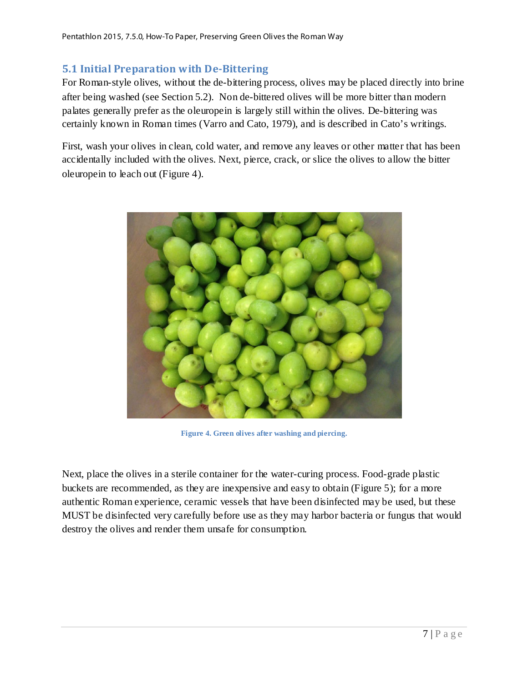#### <span id="page-8-0"></span>**5.1 Initial Preparation with De-Bittering**

For Roman-style olives, without the de-bittering process, olives may be placed directly into brine after being washed (see Section 5.2). Non de-bittered olives will be more bitter than modern palates generally prefer as the oleuropein is largely still within the olives. De-bittering was certainly known in Roman times (Varro and Cato, 1979), and is described in Cato's writings.

First, wash your olives in clean, cold water, and remove any leaves or other matter that has been accidentally included with the olives. Next, pierce, crack, or slice the olives to allow the bitter oleuropein to leach out (Figure 4).



**Figure 4. Green olives after washing and piercing.**

<span id="page-8-1"></span>Next, place the olives in a sterile container for the water-curing process. Food-grade plastic buckets are recommended, as they are inexpensive and easy to obtain (Figure 5); for a more authentic Roman experience, ceramic vessels that have been disinfected may be used, but these MUST be disinfected very carefully before use as they may harbor bacteria or fungus that would destroy the olives and render them unsafe for consumption.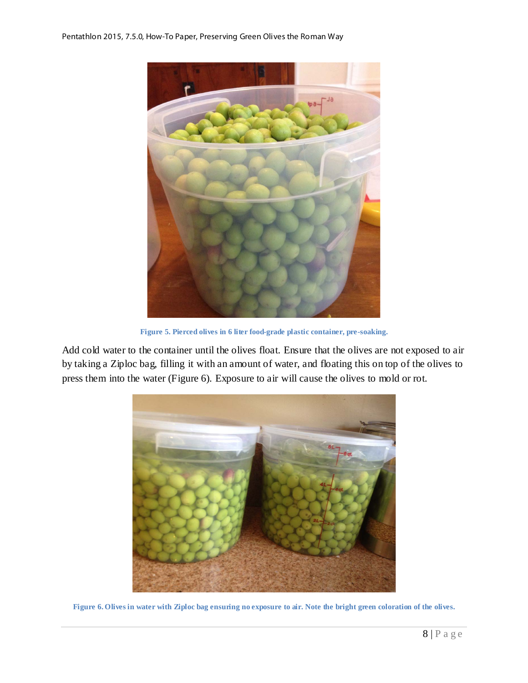

**Figure 5. Pierced olives in 6 liter food-grade plastic container, pre-soaking.**

<span id="page-9-0"></span>Add cold water to the container until the olives float. Ensure that the olives are not exposed to air by taking a Ziploc bag, filling it with an amount of water, and floating this on top of the olives to press them into the water (Figure 6). Exposure to air will cause the olives to mold or rot.

<span id="page-9-1"></span>

**Figure 6. Olives in water with Ziploc bag ensuring no exposure to air. Note the bright green coloration of the olives.**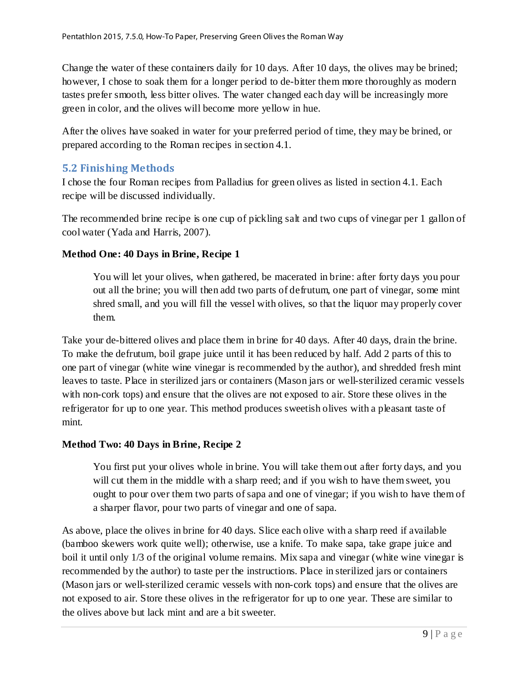Change the water of these containers daily for 10 days. After 10 days, the olives may be brined; however, I chose to soak them for a longer period to de-bitter them more thoroughly as modern tastes prefer smooth, less bitter olives. The water changed each day will be increasingly more green in color, and the olives will become more yellow in hue.

After the olives have soaked in water for your preferred period of time, they may be brined, or prepared according to the Roman recipes in section 4.1.

#### <span id="page-10-0"></span>**5.2 Finishing Methods**

I chose the four Roman recipes from Palladius for green olives as listed in section 4.1. Each recipe will be discussed individually.

The recommended brine recipe is one cup of pickling salt and two cups of vinegar per 1 gallon of cool water (Yada and Harris, 2007).

#### **Method One: 40 Days in Brine, Recipe 1**

You will let your olives, when gathered, be macerated in brine: after forty days you pour out all the brine; you will then add two parts of defrutum, one part of vinegar, some mint shred small, and you will fill the vessel with olives, so that the liquor may properly cover them.

Take your de-bittered olives and place them in brine for 40 days. After 40 days, drain the brine. To make the defrutum, boil grape juice until it has been reduced by half. Add 2 parts of this to one part of vinegar (white wine vinegar is recommended by the author), and shredded fresh mint leaves to taste. Place in sterilized jars or containers (Mason jars or well-sterilized ceramic vessels with non-cork tops) and ensure that the olives are not exposed to air. Store these olives in the refrigerator for up to one year. This method produces sweetish olives with a pleasant taste of mint.

#### **Method Two: 40 Days in Brine, Recipe 2**

You first put your olives whole in brine. You will take them out after forty days, and you will cut them in the middle with a sharp reed; and if you wish to have them sweet, you ought to pour over them two parts of sapa and one of vinegar; if you wish to have them of a sharper flavor, pour two parts of vinegar and one of sapa.

As above, place the olives in brine for 40 days. Slice each olive with a sharp reed if available (bamboo skewers work quite well); otherwise, use a knife. To make sapa, take grape juice and boil it until only 1/3 of the original volume remains. Mix sapa and vinegar (white wine vinegar is recommended by the author) to taste per the instructions. Place in sterilized jars or containers (Mason jars or well-sterilized ceramic vessels with non-cork tops) and ensure that the olives are not exposed to air. Store these olives in the refrigerator for up to one year. These are similar to the olives above but lack mint and are a bit sweeter.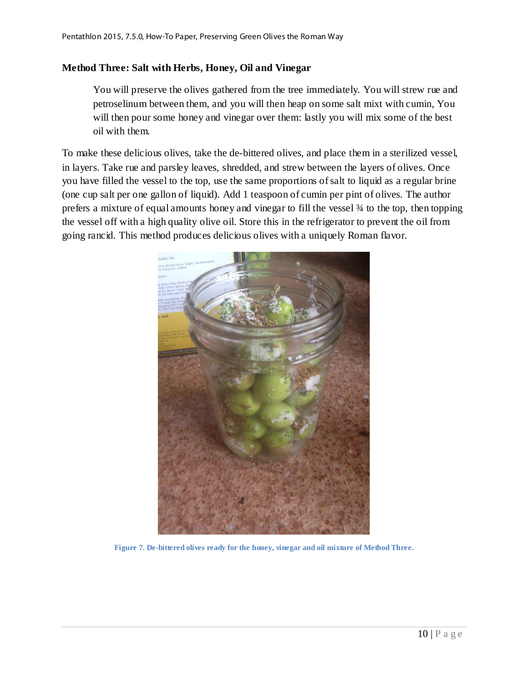#### **Method Three: Salt with Herbs, Honey, Oil and Vinegar**

You will preserve the olives gathered from the tree immediately. You will strew rue and petroselinum between them, and you will then heap on some salt mixt with cumin, You will then pour some honey and vinegar over them: lastly you will mix some of the best oil with them.

To make these delicious olives, take the de-bittered olives, and place them in a sterilized vessel, in layers. Take rue and parsley leaves, shredded, and strew between the layers of olives. Once you have filled the vessel to the top, use the same proportions of salt to liquid as a regular brine (one cup salt per one gallon of liquid). Add 1 teaspoon of cumin per pint of olives. The author prefers a mixture of equal amounts honey and vinegar to fill the vessel ¾ to the top, then topping the vessel off with a high quality olive oil. Store this in the refrigerator to prevent the oil from going rancid. This method produces delicious olives with a uniquely Roman flavor.

<span id="page-11-0"></span>

**Figure 7. De-bittered olives ready for the honey, vinegar and oil mixture of Method Three.**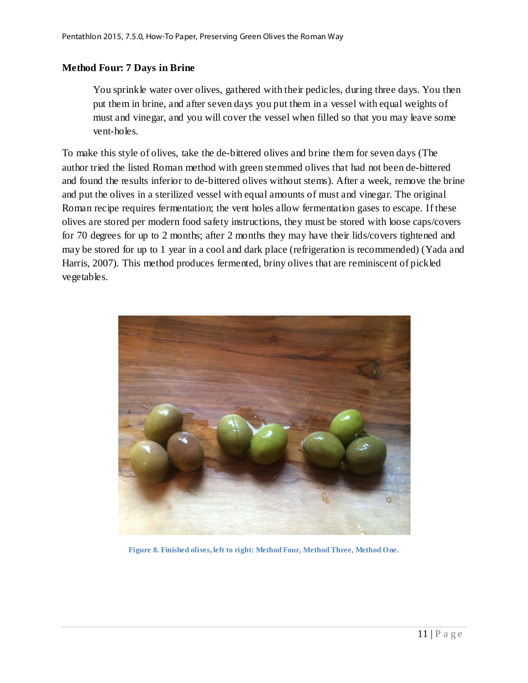#### **Method Four: 7 Days in Brine**

You sprinkle water over olives, gathered with their pedicles, during three days. You then put them in brine, and after seven days you put them in a vessel with equal weights of must and vinegar, and you will cover the vessel when filled so that you may leave some vent-holes.

To make this style of olives, take the de-bittered olives and brine them for seven days (The author tried the listed Roman method with green stemmed olives that had not been de-bittered and found the results inferior to de-bittered olives without stems). After a week, remove the brine and put the olives in a sterilized vessel with equal amounts of must and vinegar. The original Roman recipe requires fermentation; the vent holes allow fermentation gases to escape. If these olives are stored per modern food safety instructions, they must be stored with loose caps/covers for 70 degrees for up to 2 months; after 2 months they may have their lids/covers tightened and may be stored for up to 1 year in a cool and dark place (refrigeration is recommended) (Yada and Harris, 2007). This method produces fermented, briny olives that are reminiscent of pickled vegetables.

<span id="page-12-0"></span>

**Figure 8. Finished olives, left to right: Method Four, Method Three, Method One.**